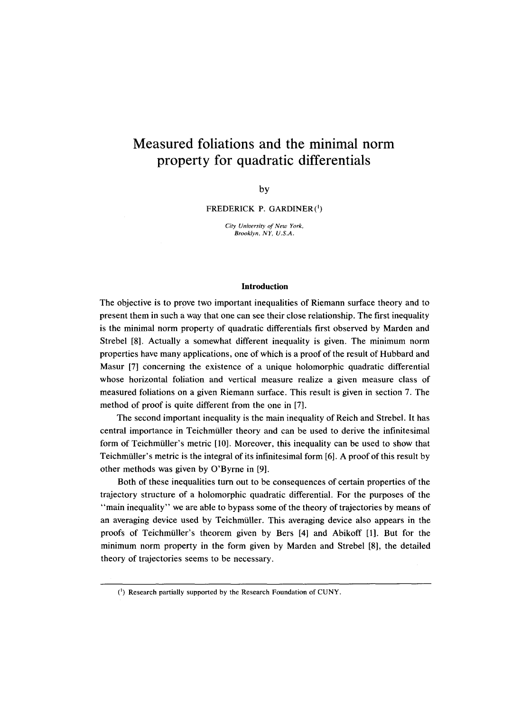# **Measured foliations and the minimal norm property for quadratic differentials**

by

FREDERICK P. GARDINER(1)

*City University of New York, Brooklyn, NY, U.S.A.* 

#### **Introduction**

The objective is to prove two important inequalities of Riemann surface theory and to present them in such a way that one can see their close relationship. The first inequality is the minimal norm property of quadratic differentials first observed by Marden and Strebel [8]. Actually a somewhat different inequality is given. The minimum norm properties have many applications, one of which is a proof of the result of Hubbard and Masur [7] Concerning the existence of a unique holomorphic quadratic differential whose horizontal foliation and vertical measure realize a given measure class of measured foliations on a given Riemann surface. This result is given in section 7. The method of proof is quite different from the one in [7].

The second important inequality is the main inequality of Reich and Strebel. It has central importance in Teichmiiller theory and can be used to derive the infinitesimal form of Teichmiiller's metric [10]. Moreover, this inequality can be used to show that Teichmiiller's metric is the integral of its infinitesimal form [6]. A proof of this result by other methods was given by O'Byrne in [9].

Both of these inequalities turn out to be consequences of certain properties of the trajectory structure of a holomorphic quadratic differential. For the purposes of the "main inequality" we are able to bypass some of the theory of trajectories by means of an averaging device used by Teichmiiller. This averaging device also appears in the proofs of Teichmiiller's theorem given by Bers [4] and Abikoff [1]. But for the minimum norm property in the form given by Marden and Strebel [8], the detailed theory of trajectories seems to be necessary.

<sup>(1)</sup> Research partially supported by the Research Foundation of CUNY.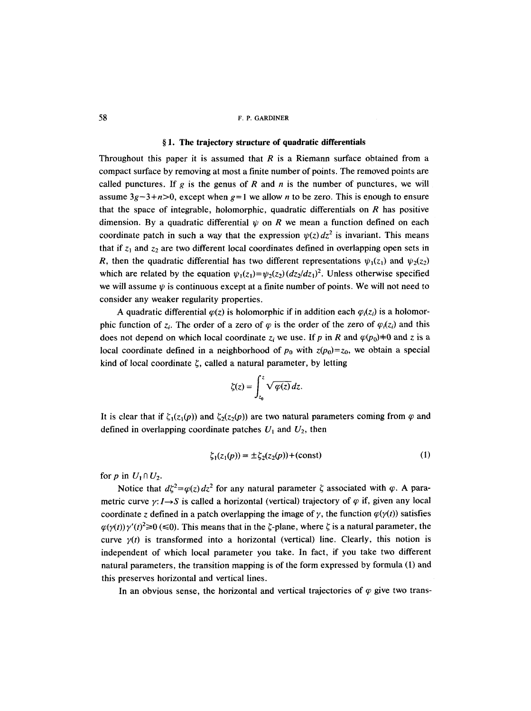#### **w 1. The trajectory structure of quadratic differentials**

Throughout this paper it is assumed that  $R$  is a Riemann surface obtained from a compact surface by removing at most a finite number of points. The removed points are called punctures. If g is the genus of R and n is the number of punctures, we will assume  $3g-3+n>0$ , except when  $g=1$  we allow *n* to be zero. This is enough to ensure that the space of integrable, holomorphic, quadratic differentials on  $R$  has positive dimension. By a quadratic differential  $\psi$  on R we mean a function defined on each coordinate patch in such a way that the expression  $\psi(z) dz^2$  is invariant. This means that if  $z_1$  and  $z_2$  are two different local coordinates defined in overlapping open sets in R, then the quadratic differential has two different representations  $\psi_1(z_1)$  and  $\psi_2(z_2)$ which are related by the equation  $\psi_1(z_1) = \psi_2(z_2)(dz_1/dz_1)^2$ . Unless otherwise specified we will assume  $\psi$  is continuous except at a finite number of points. We will not need to consider any weaker regularity properties.

A quadratic differential  $\varphi(z)$  is holomorphic if in addition each  $\varphi_i(z_i)$  is a holomorphic function of  $z_i$ . The order of a zero of  $\varphi$  is the order of the zero of  $\varphi_i(z_i)$  and this does not depend on which local coordinate  $z_i$  we use. If p in R and  $\varphi(p_0)=0$  and z is a local coordinate defined in a neighborhood of  $p_0$  with  $z(p_0)=z_0$ , we obtain a special kind of local coordinate  $\zeta$ , called a natural parameter, by letting

$$
\zeta(z) = \int_{z_0}^{z} \sqrt{\varphi(z)} dz.
$$

 $\ddot{\phantom{a}}$ 

It is clear that if  $\zeta_1(z_1(p))$  and  $\zeta_2(z_2(p))$  are two natural parameters coming from  $\varphi$  and defined in overlapping coordinate patches  $U_1$  and  $U_2$ , then

$$
\zeta_1(z_1(p)) = \pm \zeta_2(z_2(p)) + (\text{const})
$$
 (1)

for p in  $U_1 \cap U_2$ .

Notice that  $d\xi^2 = \varphi(z) dz^2$  for any natural parameter  $\zeta$  associated with  $\varphi$ . A parametric curve  $\gamma: I \rightarrow S$  is called a horizontal (vertical) trajectory of  $\varphi$  if, given any local coordinate z defined in a patch overlapping the image of  $\gamma$ , the function  $\varphi(\gamma(t))$  satisfies  $\varphi(\gamma(t)) \gamma'(t)^2 \ge 0$  ( $\leq 0$ ). This means that in the  $\zeta$ -plane, where  $\zeta$  is a natural parameter, the curve  $y(t)$  is transformed into a horizontal (vertical) line. Clearly, this notion is independent of which local parameter you take. In fact, if you take two different natural parameters, the transition mapping is of the form expressed by formula (1) and this preserves horizontal and vertical lines.

In an obvious sense, the horizontal and vertical trajectories of  $\varphi$  give two trans-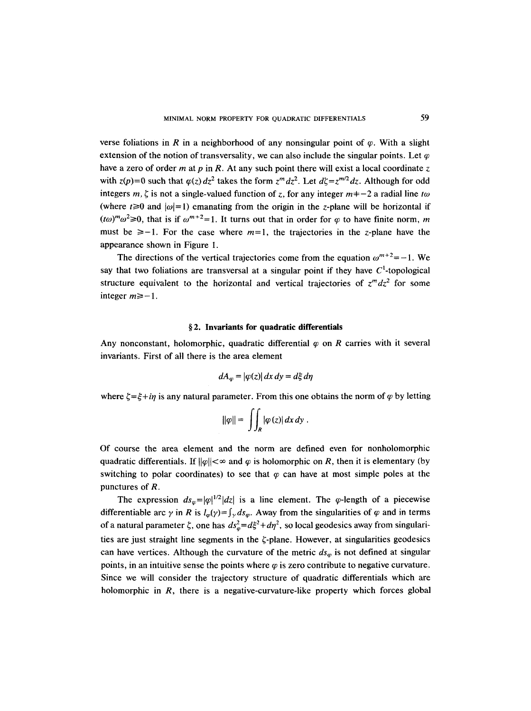verse foliations in R in a neighborhood of any nonsingular point of  $\varphi$ . With a slight extension of the notion of transversality, we can also include the singular points. Let  $\varphi$ have a zero of order m at p in R. At any such point there will exist a local coordinate z with  $z(p)=0$  such that  $\varphi(z) dz^2$  takes the form  $z^m dz^2$ . Let  $d\zeta=z^{m/2}dz$ . Although for odd integers m,  $\zeta$  is not a single-valued function of z, for any integer  $m=-2$  a radial line to (where  $t\geq0$  and  $|\omega|=1$ ) emanating from the origin in the z-plane will be horizontal if  $(t\omega)^{m}\omega^{2} \ge 0$ , that is if  $\omega^{m+2}=1$ . It turns out that in order for  $\varphi$  to have finite norm, m must be  $\geq -1$ . For the case where  $m=1$ , the trajectories in the z-plane have the appearance shown in Figure I.

The directions of the vertical trajectories come from the equation  $\omega^{m+2} = -1$ . We say that two foliations are transversal at a singular point if they have  $C<sup>1</sup>$ -topological structure equivalent to the horizontal and vertical trajectories of  $z^m dz^2$  for some integer  $m \ge -1$ .

#### **w 2. Invariants for quadratic differentials**

Any nonconstant, holomorphic, quadratic differential  $\varphi$  on R carries with it several invariants. First of all there is the area element

$$
dA_{\varphi} = |\varphi(z)| dx dy = d\xi d\eta
$$

where  $\zeta = \xi + i\eta$  is any natural parameter. From this one obtains the norm of  $\varphi$  by letting

$$
\|\varphi\| = \iint_R |\varphi(z)| dx dy.
$$

Of course the area element and the norm are defined even for nonholomorphic quadratic differentials. If  $||\varphi|| < \infty$  and  $\varphi$  is holomorphic on R, then it is elementary (by switching to polar coordinates) to see that  $\varphi$  can have at most simple poles at the punctures of R.

The expression  $ds_{\omega} = |\varphi|^{1/2} |dz|$  is a line element. The  $\varphi$ -length of a piecewise differentiable arc  $\gamma$  in R is  $l_{\varphi}(\gamma) = \int_{\gamma} ds_{\varphi}$ . Away from the singularities of  $\varphi$  and in terms of a natural parameter  $\zeta$ , one has  $ds^2 = d\xi^2 + d\eta^2$ , so local geodesics away from singularities are just straight line segments in the  $\zeta$ -plane. However, at singularities geodesics can have vertices. Although the curvature of the metric  $ds_{\varphi}$  is not defined at singular points, in an intuitive sense the points where  $\varphi$  is zero contribute to negative curvature. Since we will consider the trajectory structure of quadratic differentials which are holomorphic in  $R$ , there is a negative-curvature-like property which forces global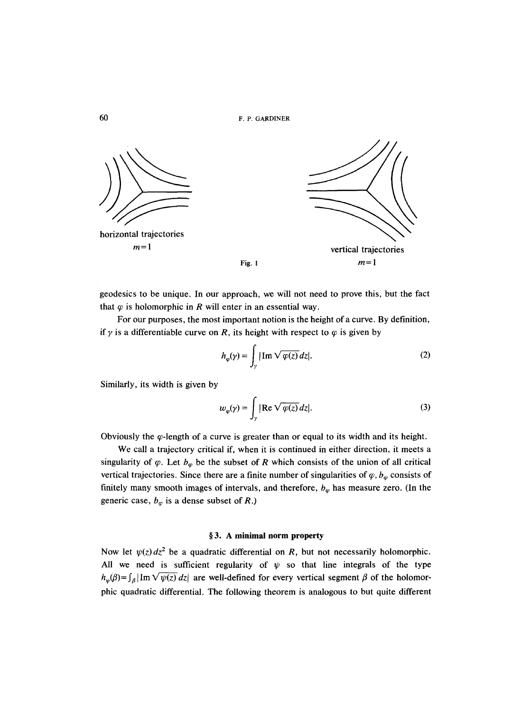

geodesics to be unique. In our approach, we will not need to prove this, but the fact that  $\varphi$  is holomorphic in R will enter in an essential way.

For our purposes, the most important notion is the height of a curve. By definition, if  $\gamma$  is a differentiable curve on R, its height with respect to  $\varphi$  is given by

$$
h_{\varphi}(\gamma) = \int_{\gamma} |\operatorname{Im} \sqrt{\varphi(z)} \, dz|.
$$
 (2)

Similarly, its width is given by

$$
w_{\varphi}(\gamma) = \int_{\gamma} |\text{Re}\sqrt{\varphi(z)} dz|.
$$
 (3)

Obviously the  $\varphi$ -length of a curve is greater than or equal to its width and its height.

We call a trajectory critical if, when it is continued in either direction, it meets a singularity of  $\varphi$ . Let  $b_{\varphi}$  be the subset of R which consists of the union of all critical vertical trajectories. Since there are a finite number of singularities of  $\varphi$ ,  $b_{\varphi}$  consists of finitely many smooth images of intervals, and therefore,  $b_{\varphi}$  has measure zero. (In the generic case,  $b_{\varphi}$  is a dense subset of R.)

# **w 3. A minimal norm property**

Now let  $\psi(z) dz^2$  be a quadratic differential on R, but not necessarily holomorphic. All we need is sufficient regularity of  $\psi$  so that line integrals of the type  $h_{\psi}(\beta) = \int_{\beta} |\text{Im} \sqrt{\psi(z)} dz|$  are well-defined for every vertical segment  $\beta$  of the holomorphic quadratic differential. The following theorem is analogous to but quite different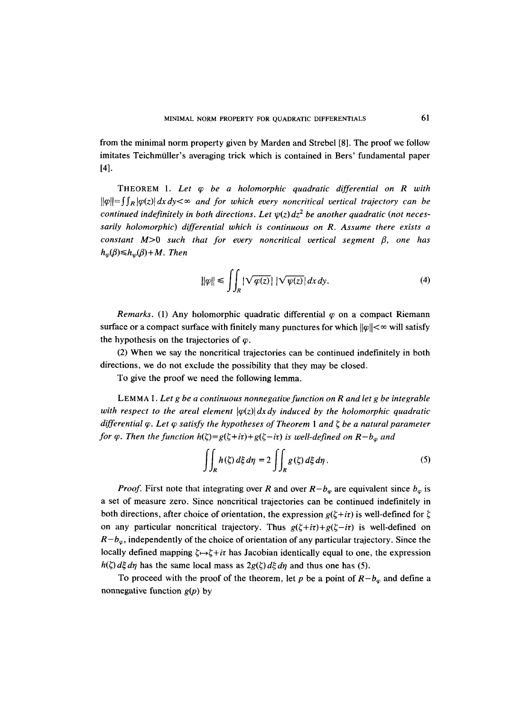from the minimal norm property given by Marden and Strebel [8]. The proof we follow imitates Teichmüller's averaging trick which is contained in Bers' fundamental paper [41.

THEOREM 1. *Let q~ be a holomorphic quadratic differential on R with*   $\|\varphi\| = \int_R |\varphi(z)| dx dy < \infty$  and for which every noncritical vertical trajectory can be *continued indefinitely in both directions. Let*  $\psi(z) dz^2$  *be another quadratic (not necessarily holomorphic) differential which is continuous on R. Assume there exists a constant*  $M>0$  *such that for every noncritical vertical segment*  $\beta$ , one has  $h_{\omega}(\beta) \leq h_{\omega}(\beta) + M$ . Then

$$
\|\varphi\| \le \iint_{R} |\sqrt{\varphi(z)}| \, |\sqrt{\psi(z)}| \, dx \, dy. \tag{4}
$$

*Remarks.* (1) Any holomorphic quadratic differential  $\varphi$  on a compact Riemann surface or a compact surface with finitely many punctures for which  $||\varphi|| < \infty$  will satisfy the hypothesis on the trajectories of  $\varphi$ .

(2) When we say the noncritical trajectories can be continued indefinitely in both directions, we do not exclude the possibility that they may be closed.

To give the proof we need the following lemma.

LEMMA 1. *Let g be a continuous nonnegative function on R and let g be integrable with respect to the areal element*  $|\varphi(z)| dx dy$  *induced by the holomorphic quadratic differential*  $\varphi$ *. Let*  $\varphi$  *satisfy the hypotheses of Theorem 1 and*  $\zeta$  *be a natural parameter for*  $\varphi$ *. Then the function h*( $\zeta$ )=g( $\zeta$ +*i* $\tau$ )+g( $\zeta$ -*i* $\tau$ ) *is well-defined on R-b<sub>y</sub> and* 

$$
\iint_{R} h(\zeta) d\xi d\eta = 2 \iint_{R} g(\zeta) d\xi d\eta.
$$
 (5)

*Proof.* First note that integrating over R and over  $R-b_{\varphi}$  are equivalent since  $b_{\varphi}$  is a set of measure zero. Since noncritical trajectories can be continued indefinitely in both directions, after choice of orientation, the expression  $g(\zeta + i\tau)$  is well-defined for  $\zeta$ on any particular noncritical trajectory. Thus  $g(\xi + i\tau) + g(\xi - i\tau)$  is well-defined on  $R-b_{\varphi}$ , independently of the choice of orientation of any particular trajectory. Since the locally defined mapping  $\zeta \rightarrow \zeta + i\tau$  has Jacobian identically equal to one, the expression  $h(\zeta) d\xi d\eta$  has the same local mass as  $2g(\zeta) d\xi d\eta$  and thus one has (5).

To proceed with the proof of the theorem, let p be a point of  $R - b_{\varphi}$  and define a nonnegative function  $g(p)$  by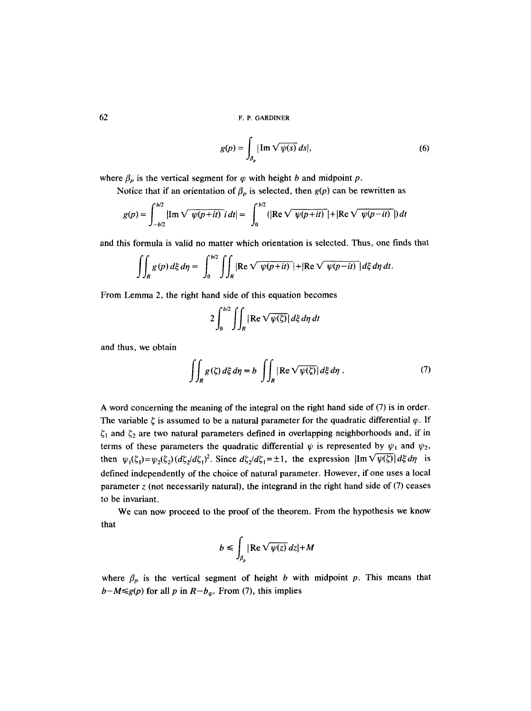$$
g(p) = \int_{\beta_p} |\operatorname{Im} \sqrt{\psi(s)} \, ds|, \tag{6}
$$

where  $\beta_p$  is the vertical segment for  $\varphi$  with height b and midpoint p.

Notice that if an orientation of  $\beta_p$  is selected, then  $g(p)$  can be rewritten as

$$
g(p) = \int_{-b/2}^{b/2} |{\rm Im} \sqrt{\psi(p+it)} \, i \, dt| = \int_0^{b/2} (|{\rm Re} \sqrt{\psi(p+it)}| + |{\rm Re} \sqrt{\psi(p-it)}|) \, dt
$$

and this formula is valid no matter which orientation is selected. Thus, one finds that

$$
\iint_{R} g(p) d\xi d\eta = \int_{0}^{b/2} \iint_{R} |\text{Re}\sqrt{\psi(p+it)}| + |\text{Re}\sqrt{\psi(p-it)}| d\xi d\eta dt.
$$

From Lemma 2, the right hand side of this equation becomes

$$
2\int_0^{b/2}\iint_R |\text{Re }\sqrt{\psi(\zeta)}| \,d\xi \,d\eta \,dt
$$

and thus, we obtain

$$
\iint_{R} g(\zeta) d\xi d\eta = b \iint_{R} |\text{Re}\sqrt{\psi(\zeta)}| d\xi d\eta . \tag{7}
$$

A word concerning the meaning of the integral on the right hand side of (7) is in order. The variable  $\zeta$  is assumed to be a natural parameter for the quadratic differential  $\varphi$ . If  $\zeta_1$  and  $\zeta_2$  are two natural parameters defined in overlapping neighborhoods and, if in terms of these parameters the quadratic differential  $\psi$  is represented by  $\psi_1$  and  $\psi_2$ , then  $\psi_1(\zeta_1)=\psi_2(\zeta_2) (d\zeta_1/d\zeta_1)^2$ . Since  $d\zeta_1/d\zeta_1 = \pm 1$ , the expression  $|\text{Im }\sqrt{\psi(\zeta)}| d\zeta d\eta$  is defined independently of the choice of natural parameter. However, if one uses a local parameter  $z$  (not necessarily natural), the integrand in the right hand side of  $(7)$  ceases to be invariant.

We can now proceed to the proof of the theorem. From the hypothesis we know that

$$
b \le \int_{\beta_p} |\operatorname{Re} \sqrt{\psi(z)} \, dz| + M
$$

where  $\beta_p$  is the vertical segment of height b with midpoint p. This means that  $b-M \leq g(p)$  for all p in  $R-b_{\varphi}$ . From (7), this implies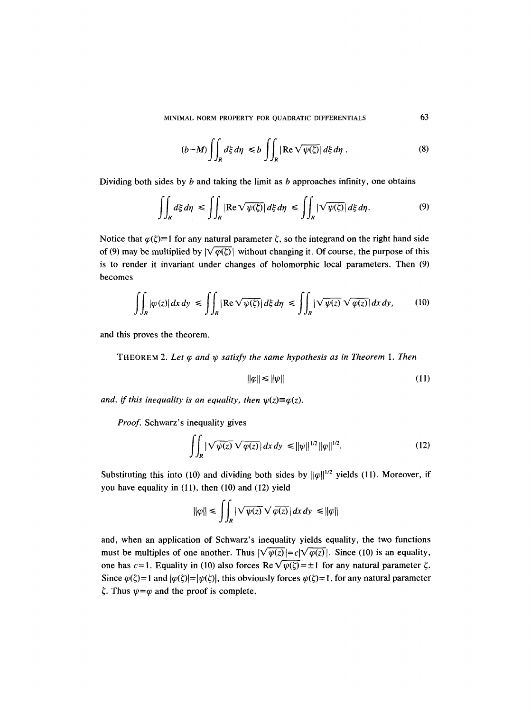$$
(b-M)\iint_{R}d\xi d\eta \le b\iint_{R}|\text{Re}\sqrt{\psi(\zeta)}|\,d\xi d\eta . \tag{8}
$$

Dividing both sides by  $b$  and taking the limit as  $b$  approaches infinity, one obtains

$$
\iint_{R} d\xi \, d\eta \le \iint_{R} |\text{Re}\,\sqrt{\psi(\xi)}| \, d\xi \, d\eta \le \iint_{R} |\sqrt{\psi(\xi)}| \, d\xi \, d\eta. \tag{9}
$$

Notice that  $\varphi(\zeta) \equiv 1$  for any natural parameter  $\zeta$ , so the integrand on the right hand side of (9) may be multiplied by  $|\sqrt{\varphi(\zeta)}|$  without changing it. Of course, the purpose of this is to render it invariant under changes of holomorphic local parameters. Then (9) becomes

$$
\iint_{R} |\varphi(z)| dx dy \le \iint_{R} |\text{Re}\sqrt{\psi(\zeta)}| d\xi d\eta \le \iint_{R} |\sqrt{\psi(z)}\sqrt{\varphi(z)}| dx dy, \qquad (10)
$$

and this proves the theorem.

THEOREM 2. Let  $\varphi$  and  $\psi$  satisfy the same hypothesis as in Theorem 1. Then

$$
\|\varphi\| \le \|\psi\| \tag{11}
$$

*and, if this inequality is an equality, then*  $\psi(z) \equiv \varphi(z)$ *.* 

*Proof.* Schwarz's inequality gives

$$
\iint_{R} |\sqrt{\psi(z)}\sqrt{\varphi(z)}| \, dx \, dy \le ||\psi||^{1/2} ||\varphi||^{1/2}.
$$
 (12)

Substituting this into (10) and dividing both sides by  $\|\varphi\|^{1/2}$  yields (11). Moreover, if you have equality in  $(11)$ , then  $(10)$  and  $(12)$  yield

$$
\|\varphi\| \le \iint_R |\sqrt{\psi(z)} \sqrt{\varphi(z)}| \, dx \, dy \le \|\varphi\|
$$

and, when an application of Schwarz's inequality yields equality, the two functions must be multiples of one another. Thus  $|\sqrt{\psi(z)}| = c|\sqrt{\varphi(z)}|$ . Since (10) is an equality, one has  $c=1$ . Equality in (10) also forces Re $\sqrt{\psi(\zeta)}=\pm 1$  for any natural parameter  $\zeta$ . Since  $\varphi(\zeta)=1$  and  $|\varphi(\zeta)| = |\psi(\zeta)|$ , this obviously forces  $\psi(\zeta)=1$ , for any natural parameter  $\zeta$ . Thus  $\psi = \varphi$  and the proof is complete.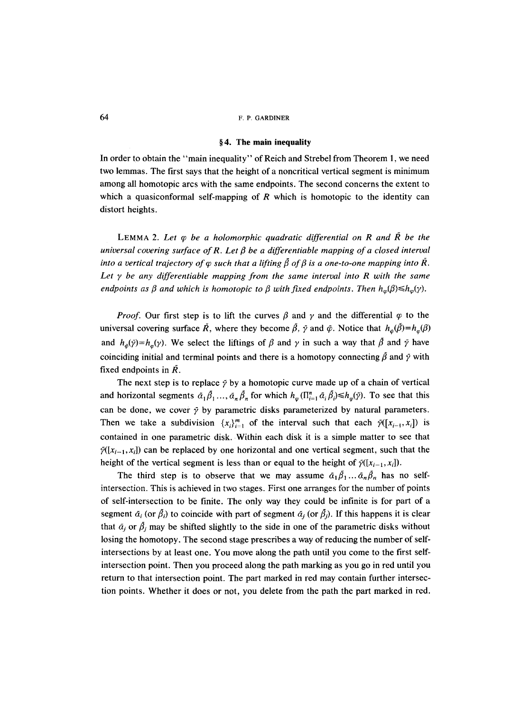#### **w 4. The main inequality**

In order to obtain the "main inequality" of Reich and Strebel from Theorem 1, we need two lemmas. The first says that the height of a noncritical vertical segment is minimum among all homotopic arcs with the same endpoints. The second concerns the extent to which a quasiconformal self-mapping of R which is homotopic to the identity can distort heights.

LEMMA 2. Let  $\varphi$  be a holomorphic quadratic differential on R and  $\tilde{R}$  be the *universal covering surface of R. Let*  $\beta$  *be a differentiable mapping of a closed interval into a vertical trajectory of*  $\varphi$  *such that a lifting*  $\beta$  *of*  $\beta$  *is a one-to-one mapping into R. Let Y be any differentiable mapping from the same interval into R with the same endpoints as*  $\beta$  *and which is homotopic to*  $\beta$  *with fixed endpoints. Then*  $h_{\varphi}(\beta) \leq h_{\varphi}(\gamma)$ *.* 

*Proof.* Our first step is to lift the curves  $\beta$  and  $\gamma$  and the differential  $\varphi$  to the universal covering surface  $\tilde{R}$ , where they become  $\tilde{\beta}$ ,  $\tilde{\gamma}$  and  $\tilde{\varphi}$ . Notice that  $h_{\tilde{\varphi}}(\tilde{\beta}) = h_{\varphi}(\beta)$ and  $h_{\phi}(\tilde{\gamma}) = h_{\phi}(\gamma)$ . We select the liftings of  $\beta$  and  $\gamma$  in such a way that  $\tilde{\beta}$  and  $\tilde{\gamma}$  have coinciding initial and terminal points and there is a homotopy connecting  $\beta$  and  $\tilde{\gamma}$  with fixed endpoints in  $\overline{R}$ .

The next step is to replace  $\tilde{\gamma}$  by a homotopic curve made up of a chain of vertical and horizontal segments  $\tilde{\alpha}_1 \tilde{\beta}_1 ... , \tilde{\alpha}_n \tilde{\beta}_n$  for which  $h_{\varphi}(\Pi_{i=1}^n \tilde{\alpha}_i \tilde{\beta}_i) \leq h_{\varphi}(\tilde{\gamma})$ . To see that this can be done, we cover  $\tilde{\gamma}$  by parametric disks parameterized by natural parameters. Then we take a subdivision  $\{x_i\}_{i=1}^m$  of the interval such that each  $\tilde{\gamma}([x_{i-1},x_i])$  is contained in one parametric disk. Within each disk it is a simple matter to see that  $\tilde{\gamma}([x_{i-1},x_i])$  can be replaced by one horizontal and one vertical segment, such that the height of the vertical segment is less than or equal to the height of  $\tilde{\gamma}([x_{i-1},x_i])$ .

The third step is to observe that we may assume  $\tilde{\alpha}_1 \tilde{\beta}_1 ... \tilde{\alpha}_n \tilde{\beta}_n$  has no selfintersection. This is achieved in two stages. First one arranges for the number of points of self-intersection to be finite. The only way they could be infinite is for part of a segment  $\tilde{\alpha}_i$  (or  $\tilde{\beta}_i$ ) to coincide with part of segment  $\tilde{\alpha}_i$  (or  $\tilde{\beta}_i$ ). If this happens it is clear that  $\tilde{\alpha}_j$  or  $\tilde{\beta}_j$  may be shifted slightly to the side in one of the parametric disks without losing the homotopy. The second stage prescribes a way of reducing the number of selfintersections by at least one. You move along the path until you come to the first selfintersection point. Then you proceed along the path marking as you go in red until you return to that intersection point. The part marked in red may contain further intersection points. Whether it does or not, you delete from the path the part marked in red.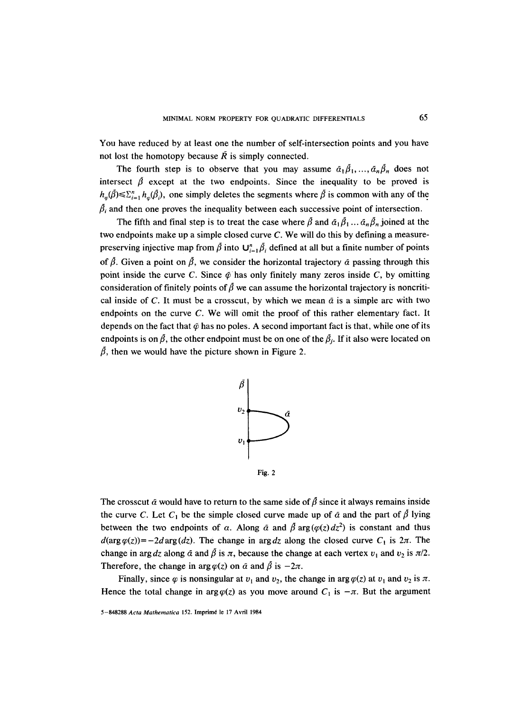You have reduced by at least one the number of self-intersection points and you have not lost the homotopy because  $\tilde{R}$  is simply connected.

The fourth step is to observe that you may assume  $\tilde{\alpha}_1 \tilde{\beta}_1, ..., \tilde{\alpha}_n \tilde{\beta}_n$  does not intersect  $\beta$  except at the two endpoints. Since the inequality to be proved is  $h_{\omega}(\tilde{\beta}) \leq \sum_{i=1}^n h_{\omega}(\tilde{\beta}_i)$ , one simply deletes the segments where  $\tilde{\beta}$  is common with any of the  $\beta_i$  and then one proves the inequality between each successive point of intersection.

The fifth and final step is to treat the case where  $\tilde{\beta}$  and  $\tilde{\alpha}_1\tilde{\beta}_1\ldots\tilde{\alpha}_n\tilde{\beta}_n$  joined at the two endpoints make up a simple closed curve C. We will do this by defining a measurepreserving injective map from  $\tilde{\beta}$  into  $\mathbf{U}_{i=1}^n \tilde{\beta}_i$  defined at all but a finite number of points of  $\hat{\beta}$ . Given a point on  $\hat{\beta}$ , we consider the horizontal trajectory  $\hat{\alpha}$  passing through this point inside the curve C. Since  $\bar{\varphi}$  has only finitely many zeros inside C, by omitting consideration of finitely points of  $\beta$  we can assume the horizontal trajectory is noncritical inside of C. It must be a crosscut, by which we mean  $\tilde{\alpha}$  is a simple arc with two endpoints on the curve C. We will omit the proof of this rather elementary fact. It depends on the fact that  $\ddot{\varphi}$  has no poles. A second important fact is that, while one of its endpoints is on  $\beta$ , the other endpoint must be on one of the  $\beta_i$ . If it also were located on  $\tilde{\beta}$ , then we would have the picture shown in Figure 2.



The crosscut  $\tilde{\alpha}$  would have to return to the same side of  $\tilde{\beta}$  since it always remains inside the curve C. Let  $C_1$  be the simple closed curve made up of  $\tilde{\alpha}$  and the part of  $\tilde{\beta}$  lying between the two endpoints of a. Along  $\tilde{\alpha}$  and  $\tilde{\beta}$  arg ( $\varphi(z) dz^2$ ) is constant and thus  $d(\arg \varphi(z)) = -2d \arg (dz)$ . The change in arg dz along the closed curve  $C_1$  is  $2\pi$ . The change in arg *dz* along  $\tilde{\alpha}$  and  $\tilde{\beta}$  is  $\pi$ , because the change at each vertex  $v_1$  and  $v_2$  is  $\pi/2$ . Therefore, the change in arg  $\varphi(z)$  on  $\tilde{\alpha}$  and  $\tilde{\beta}$  is  $-2\pi$ .

Finally, since  $\varphi$  is nonsingular at  $v_1$  and  $v_2$ , the change in arg  $\varphi(z)$  at  $v_1$  and  $v_2$  is  $\pi$ . Hence the total change in arg $\varphi(z)$  as you move around  $C_1$  is  $-\pi$ . But the argument

5-848288 *Acta Mathematica* 152. Imprim6 le 17 Avril 1984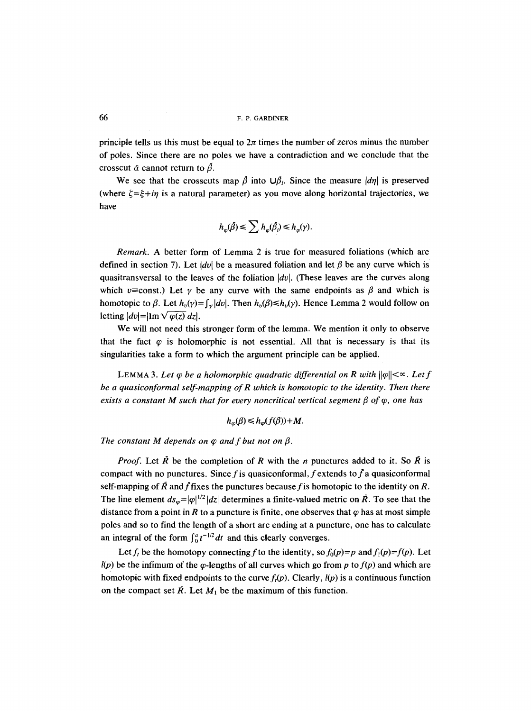principle tells us this must be equal to  $2\pi$  times the number of zeros minus the number of poles. Since there are no poles we have a contradiction and we conclude that the crosscut  $\tilde{\alpha}$  cannot return to  $\tilde{\beta}$ .

We see that the crosscuts map  $\tilde{\beta}$  into  $\mathsf{U}\tilde{\beta}_i$ . Since the measure  $|d\eta|$  is preserved (where  $\zeta = \zeta + i\eta$  is a natural parameter) as you move along horizontal trajectories, we have

$$
h_{\varphi}(\tilde{\beta}) \leq \sum h_{\varphi}(\tilde{\beta}_i) \leq h_{\varphi}(\gamma)
$$

*Remark.* A better form of Lemma 2 is true for measured foliations (which are defined in section 7). Let  $|dv|$  be a measured foliation and let  $\beta$  be any curve which is quasitransversal to the leaves of the foliation *Idol.* (These leaves are the curves along which v=const.) Let  $\gamma$  be any curve with the same endpoints as  $\beta$  and which is homotopic to  $\beta$ . Let  $h_v(\gamma) = \int_{\gamma} |dv|$ . Then  $h_v(\beta) \leq h_v(\gamma)$ . Hence Lemma 2 would follow on letting  $|dv| = |\text{Im} \sqrt{\varphi(z)} dz|$ .

We will not need this stronger form of the lemma. We mention it only to observe that the fact  $\varphi$  is holomorphic is not essential. All that is necessary is that its singularities take a form to which the argument principle can be applied.

LEMMA 3. Let  $\varphi$  be a holomorphic quadratic differential on R with  $\|\varphi\| < \infty$ . Let f *be a quasiconformal self-mapping of R which is homotopic to the identity. Then there exists a constant M such that for every noncritical vertical segment*  $\beta$  *of*  $\varphi$ *, one has* 

$$
h_{\varphi}(\beta) \leq h_{\varphi}(f(\beta)) + M.
$$

The constant M depends on  $\varphi$  and f but not on  $\beta$ .

*Proof.* Let  $\overline{R}$  be the completion of R with the n punctures added to it. So  $\overline{R}$  is compact with no punctures. Since f is quasiconformal, f extends to f a quasiconformal self-mapping of  $\bar{R}$  and  $\bar{f}$  fixes the punctures because f is homotopic to the identity on R. The line element  $ds_{\omega}=|\varphi|^{1/2} |dz|$  determines a finite-valued metric on  $\tilde{R}$ . To see that the distance from a point in R to a puncture is finite, one observes that  $\varphi$  has at most simple poles and so to find the length of a short arc ending at a puncture, one has to calculate an integral of the form  $\int_0^a t^{-1/2} dt$  and this clearly converges.

Let  $f_t$  be the homotopy connecting f to the identity, so  $f_0(p)=p$  and  $f_1(p)=f(p)$ . Let  $l(p)$  be the infimum of the  $\varphi$ -lengths of all curves which go from p to  $f(p)$  and which are homotopic with fixed endpoints to the curve  $f<sub>i</sub>(p)$ . Clearly,  $l(p)$  is a continuous function on the compact set  $\overline{R}$ . Let  $M_1$  be the maximum of this function.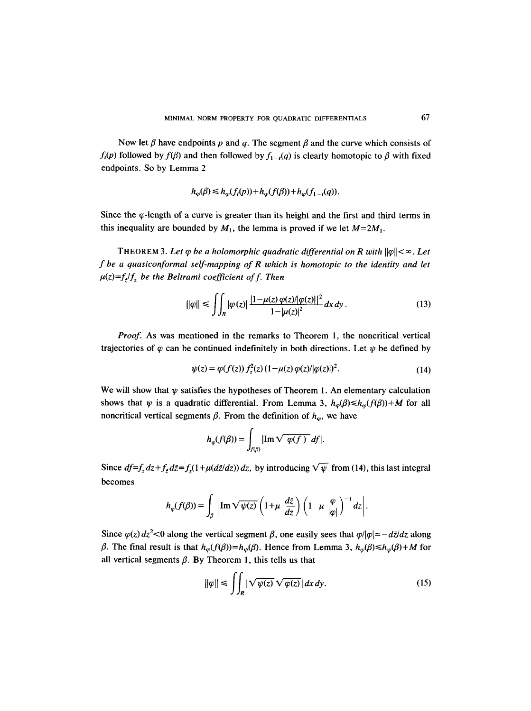Now let  $\beta$  have endpoints p and q. The segment  $\beta$  and the curve which consists of  $f_t(p)$  followed by  $f(\beta)$  and then followed by  $f_{1-t}(q)$  is clearly homotopic to  $\beta$  with fixed endpoints. So by Lemma 2

$$
h_{\varphi}(\beta) \leq h_{\varphi}(f_t(p)) + h_{\varphi}(f(\beta)) + h_{\varphi}(f_{1-t}(q)).
$$

Since the  $\varphi$ -length of a curve is greater than its height and the first and third terms in this inequality are bounded by  $M_1$ , the lemma is proved if we let  $M=2M_1$ .

THEOREM 3. Let  $\varphi$  be a holomorphic quadratic differential on R with  $\|\varphi\| < \infty$ . Let *f be a quasiconformal self-mapping of R which is homotopic to the identity and let*   $\mu(z)=f_z/f_z$  be the Beltrami coefficient of f. Then

$$
\|\varphi\| \le \iint_{R} |\varphi(z)| \, \frac{|1 - \mu(z) \, \varphi(z)| |\varphi(z)||^2}{1 - |\mu(z)|^2} \, dx \, dy \,. \tag{13}
$$

*Proof.* As was mentioned in the remarks to Theorem 1, the noncritical vertical trajectories of  $\varphi$  can be continued indefinitely in both directions. Let  $\psi$  be defined by

$$
\psi(z) = \varphi(f(z)) f_z^2(z) (1 - \mu(z) \varphi(z) / |\varphi(z)|)^2.
$$
 (14)

We will show that  $\psi$  satisfies the hypotheses of Theorem 1. An elementary calculation shows that  $\psi$  is a quadratic differential. From Lemma 3,  $h_{\varphi}(\beta) \leq h_{\varphi}(f(\beta)) + M$  for all noncritical vertical segments  $\beta$ . From the definition of  $h_{\varphi}$ , we have

$$
h_{\varphi}(f(\beta)) = \int_{f(\beta)} |\text{Im}\sqrt{\varphi(f)}\, df|.
$$

Since  $df=f_z dz+f_{\bar{z}}d\bar{z}=f_z(1+\mu(d\bar{z}/dz)) dz$ , by introducing  $\sqrt{\psi}$  from (14), this last integral becomes

$$
h_{\varphi}(f(\beta)) = \int_{\beta} \left| \operatorname{Im} \sqrt{\psi(z)} \left( 1 + \mu \frac{d\bar{z}}{dz} \right) \left( 1 - \mu \frac{\varphi}{|\varphi|} \right)^{-1} dz \right|.
$$

Since  $\varphi(z) dz^2$ <0 along the vertical segment  $\beta$ , one easily sees that  $\varphi/|\varphi| = -d\bar{z}/dz$  along  $\beta$ . The final result is that  $h_{\varphi}(f(\beta))=h_{\psi}(\beta)$ . Hence from Lemma 3,  $h_{\varphi}(\beta)\leq h_{\psi}(\beta)+M$  for all vertical segments  $\beta$ . By Theorem 1, this tells us that

$$
\|\varphi\| \le \iint_{R} |\sqrt{\psi(z)} \sqrt{\varphi(z)}| \, dx \, dy. \tag{15}
$$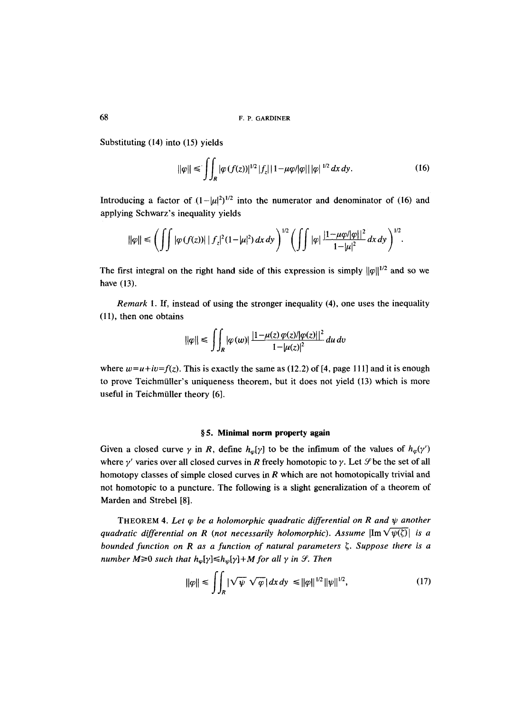Substituting (14) into (15) yields

$$
\|\varphi\| \le \iint_{R} |\varphi(f(z))|^{1/2} |f_z| |1 - \mu \varphi / |\varphi| | |\varphi|^{1/2} dx dy. \tag{16}
$$

Introducing a factor of  $(1-|\mu|^2)^{1/2}$  into the numerator and denominator of (16) and applying Schwarz's inequality yields

$$
\|\varphi\| \le \left(\int \int |\varphi(f(z))| \, |f_z|^2 (1-|\mu|^2) \, dx \, dy\right)^{1/2} \left(\int \int |\varphi| \, \frac{|1-\mu\varphi/|\varphi||^2}{1-|\mu|^2} \, dx \, dy\right)^{1/2}.
$$

The first integral on the right hand side of this expression is simply  $||\varphi||^{1/2}$  and so we have (13).

*Remark* 1. If, instead of using the stronger inequality (4), one uses the inequality (11), then one obtains

$$
\|\varphi\| \le \int\int_R |\varphi(w)| \frac{|1-\mu(z)\varphi(z)|\varphi(z)||^2}{1-|\mu(z)|^2} du dv
$$

where  $w=u+iv=f(z)$ . This is exactly the same as (12.2) of [4, page 111] and it is enough to prove Teichmiiller's uniqueness theorem, but it does not yield (13) which is more useful in Teichmiiller theory [6].

#### **w 5. Minimal norm property again**

Given a closed curve  $\gamma$  in R, define  $h_{\varphi}[\gamma]$  to be the infimum of the values of  $h_{\varphi}(\gamma')$ where  $\gamma'$  varies over all closed curves in R freely homotopic to  $\gamma$ . Let  $\mathcal{S}$  be the set of all homotopy classes of simple closed curves in R which are not homotopically trivial and not homotopic to a puncture. The following is a slight generalization of a theorem of Marden and Strebel [8].

THEOREM 4. Let  $\varphi$  be a holomorphic quadratic differential on R and  $\psi$  another *quadratic differential on R (not necessarily holomorphic). Assume*  $\left|\text{Im} \sqrt{\psi(\zeta)}\right|$  *is a bounded function on R as a function of natural parameters*  $\zeta$ *. Suppose there is a number M* $\geq$ 0 *such that*  $h_{\varphi}[\gamma] \leq h_{\psi}[\gamma] + M$  for all  $\gamma$  in  $\mathcal{S}$ . Then

$$
\|\varphi\| \le \int\int_{R} |\sqrt{\psi} \sqrt{\varphi}| \, dx \, dy \le \|\varphi\|^{1/2} \|\psi\|^{1/2}, \tag{17}
$$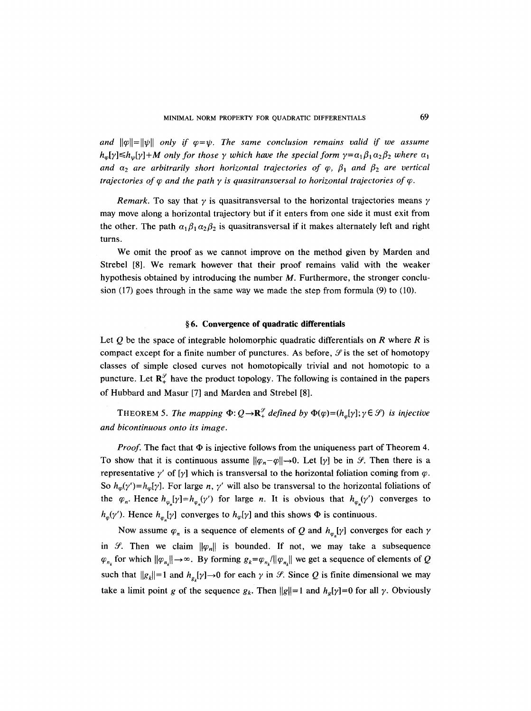and  $||\varphi||=||\psi||$  only if  $\varphi=\psi$ . The same conclusion remains valid if we assume  $h_{\varphi}[\gamma] \leq h_{\psi}[\gamma] + M$  only for those  $\gamma$  which have the special form  $\gamma = \alpha_1 \beta_1 \alpha_2 \beta_2$  where  $\alpha_1$ *and*  $\alpha_2$  *are arbitrarily short horizontal trajectories of*  $\varphi$ *,*  $\beta_1$  *and*  $\beta_2$  *are vertical trajectories of*  $\varphi$  *and the path y is quasitransversal to horizontal trajectories of*  $\varphi$ *.* 

*Remark.* To say that  $\gamma$  is quasitransversal to the horizontal trajectories means  $\gamma$ may move along a horizontal trajectory but if it enters from one side it must exit from the other. The path  $\alpha_1 \beta_1 \alpha_2 \beta_2$  is quasitransversal if it makes alternately left and right turns.

We omit the proof as we cannot improve on the method given by Marden and Strebel [8]. We remark however that their proof remains valid with the weaker hypothesis obtained by introducing the number M. Furthermore, the stronger conclusion (17) goes through in the same way we made the step from formula (9) to (10).

### **w 6. Convergence of quadratic differentials**

Let  $O$  be the space of integrable holomorphic quadratic differentials on R where R is compact except for a finite number of punctures. As before,  $\mathcal{S}$  is the set of homotopy classes of simple closed curves not homotopically trivial and not homotopic to a puncture. Let  $\mathbb{R}_+^{\mathcal{G}}$  have the product topology. The following is contained in the papers of Hubbard and Masur [7] and Marden and Strebel [8].

THEOREM 5. *The mapping*  $\Phi: Q \rightarrow \mathbb{R}_+^{\mathcal{G}}$  defined by  $\Phi(\varphi) = (h_{\varphi}[\gamma]; \gamma \in \mathcal{G})$  is injective *and bicontinuous onto its image.* 

*Proof.* The fact that  $\Phi$  is injective follows from the uniqueness part of Theorem 4. To show that it is continuous assume  $||\varphi_n - \varphi|| \to 0$ . Let  $[\gamma]$  be in *S*. Then there is a representative  $\gamma'$  of [ $\gamma$ ] which is transversal to the horizontal foliation coming from  $\varphi$ . So  $h_{\varphi}(\gamma')=h_{\varphi}[\gamma]$ . For large *n*,  $\gamma'$  will also be transversal to the horizontal foliations of the  $\varphi_n$ . Hence  $h_{\varphi_n}[\gamma]=h_{\varphi_n}(\gamma')$  for large *n*. It is obvious that  $h_{\varphi_n}(\gamma')$  converges to  $h_{\varphi}(\gamma')$ . Hence  $h_{\varphi}[\gamma]$  converges to  $h_{\varphi}[\gamma]$  and this shows  $\Phi$  is continuous.

Now assume  $\varphi_n$  is a sequence of elements of Q and  $h_{\varphi_n}[\gamma]$  converges for each  $\gamma$ in *9*. Then we claim  $\|\varphi_n\|$  is bounded. If not, we may take a subsequence  $\varphi_{n_k}$  for which  $\|\varphi_{n_k}\| \to \infty$ . By forming  $g_k = \varphi_{n_k}/\|\varphi_{n_k}\|$  we get a sequence of elements of Q such that  $||g_k|| = 1$  and  $h_{g_k}[\gamma] \to 0$  for each  $\gamma$  in  $\mathcal{S}$ . Since Q is finite dimensional we may take a limit point g of the sequence  $g_k$ . Then  $||g||=1$  and  $h_g(y)=0$  for all  $\gamma$ . Obviously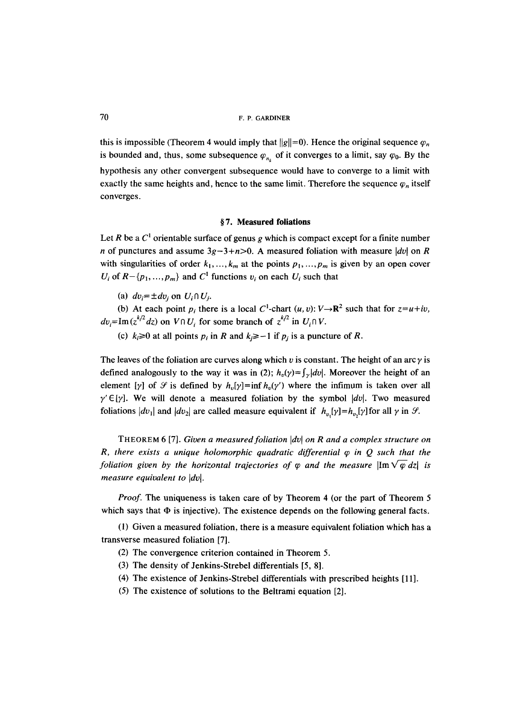this is impossible (Theorem 4 would imply that  $||g||=0$ ). Hence the original sequence  $\varphi_n$ is bounded and, thus, some subsequence  $\varphi_{n_k}$  of it converges to a limit, say  $\varphi_0$ . By the hypothesis any other convergent subsequence would have to converge to a limit with exactly the same heights and, hence to the same limit. Therefore the sequence  $\varphi_n$  itself converges.

#### **w 7. Measured foliations**

Let R be a  $C<sup>1</sup>$  orientable surface of genus g which is compact except for a finite number n of punctures and assume  $3g-3+n>0$ . A measured foliation with measure  $|dv|$  on R with singularities of order  $k_1, ..., k_m$  at the points  $p_1, ..., p_m$  is given by an open cover  $U_i$  of  $R - \{p_1, \ldots, p_m\}$  and  $C^1$  functions  $v_i$  on each  $U_i$  such that

(a)  $dv_i = \pm dv_i$  on  $U_i \cap U_i$ .

(b) At each point  $p_i$  there is a local C<sup>1</sup>-chart  $(u, v): V \rightarrow \mathbb{R}^2$  such that for  $z=u+iv$ ,  $dv_i = \text{Im}(z^{k/2} dz)$  on  $V \cap U_i$  for some branch of  $z^{k/2}$  in  $U_i \cap V$ .

(c)  $k_i \ge 0$  at all points  $p_i$  in R and  $k_i \ge -1$  if  $p_i$  is a puncture of R.

The leaves of the foliation are curves along which v is constant. The height of an arc  $\gamma$  is defined analogously to the way it was in (2);  $h_v(y) = \int_x |dv|$ . Moreover the height of an element [y] of  $\mathcal G$  is defined by  $h_v[y] = \inf h_v(y')$  where the infimum is taken over all  $\gamma' \in [\gamma]$ . We will denote a measured foliation by the symbol  $|dv|$ . Two measured foliations  $|dv_1|$  and  $|dv_2|$  are called measure equivalent if  $h_{v}[\gamma]=h_{v}[\gamma]$  for all  $\gamma$  in  $\mathcal{S}$ .

THEOREM 6 [7]. *Given a measured foliation Idol on R and a complex structure on R, there exists a unique holomorphic quadratic differential*  $\varphi$  *in Q such that the foliation given by the horizontal trajectories of*  $\varphi$  *and the measure*  $\left|\text{Im}\sqrt{\varphi}\,dz\right|$  *is measure equivalent to*  $|dv|$ *.* 

*Proof.* The uniqueness is taken care of by Theorem 4 (or the part of Theorem 5 which says that  $\Phi$  is injective). The existence depends on the following general facts.

(1) Given a measured foliation, there is a measure equivalent foliation which has a transverse measured foliation [7].

- (2) The convergence criterion contained in Theorem 5.
- (3) The density of Jenkins-Strebel differentials [5, 8].
- (4) The existence of Jenkins-Strebel differentials with prescribed heights [11].
- (5) The existence of solutions to the Beltrami equation [2].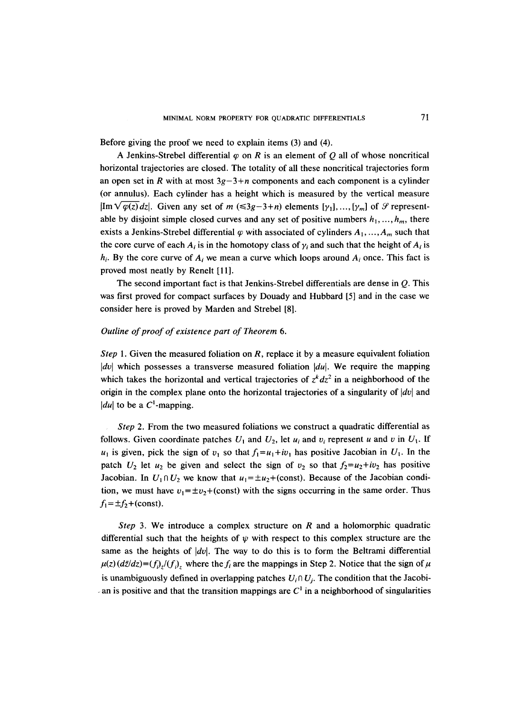Before giving the proof we need to explain items (3) and (4).

A Jenkins-Strebel differential  $\varphi$  on R is an element of Q all of whose noncritical horizontal trajectories are closed. The totality of all these noncritical trajectories form an open set in R with at most  $3g-3+n$  components and each component is a cylinder (or annulus). Each cylinder has a height which is measured by the vertical measure  $|Im\sqrt{\varphi(z)}dz|$ . Given any set of m ( $\leq 3g-3+n$ ) elements  $[\gamma_1],...,[\gamma_m]$  of  $\mathcal G$  representable by disjoint simple closed curves and any set of positive numbers  $h_1, ..., h_m$ , there exists a Jenkins-Strebel differential  $\varphi$  with associated of cylinders  $A_1, ..., A_m$  such that the core curve of each  $A_i$  is in the homotopy class of  $\gamma_i$  and such that the height of  $A_i$  is  $h_i$ . By the core curve of  $A_i$  we mean a curve which loops around  $A_i$  once. This fact is proved most neatly by Renelt [11].

The second important fact is that Jenkins-Strebel differentials are dense in Q. This was first proved for compact surfaces by Douady and Hubbard [5] and in the case we consider here is proved by Marden and Strebel [8].

# *Outline of proof of existence part of Theorem 6.*

*Step* 1. Given the measured foliation on R, replace it by a measure equivalent foliation *Idol* which possesses a transverse measured foliation *Idul.* We require the mapping which takes the horizontal and vertical trajectories of  $z<sup>k</sup> dz<sup>2</sup>$  in a neighborhood of the origin in the complex plane onto the horizontal trajectories of a singularity of  $|dv|$  and  $|du|$  to be a  $C^1$ -mapping.

*Step* 2. From the two measured foliations we construct a quadratic differential as follows. Given coordinate patches  $U_1$  and  $U_2$ , let  $u_i$  and  $v_i$  represent u and v in  $U_1$ . If  $u_1$  is given, pick the sign of  $v_1$  so that  $f_1=u_1+iv_1$  has positive Jacobian in  $U_1$ . In the patch  $U_2$  let  $u_2$  be given and select the sign of  $v_2$  so that  $f_2 = u_2 + iv_2$  has positive Jacobian. In  $U_1 \cap U_2$  we know that  $u_1 = \pm u_2 + (const)$ . Because of the Jacobian condition, we must have  $v_1 = \pm v_2 + (const)$  with the signs occurring in the same order. Thus  $f_1 = \pm f_2 + \text{(const)}.$ 

*Step* 3. We introduce a complex structure on R and a holomorphic quadratic differential such that the heights of  $\psi$  with respect to this complex structure are the same as the heights of *Idol.* The way to do this is to form the Beltrami differential  $\mu(z)$  ( $dz/dz$ )=(f<sub>i)z</sub>/(f<sub>i</sub>)<sub>z</sub> where the f<sub>i</sub> are the mappings in Step 2. Notice that the sign of  $\mu$ is unambiguously defined in overlapping patches  $U_i \cap U_j$ . The condition that the Jacobian is positive and that the transition mappings are  $C<sup>1</sup>$  in a neighborhood of singularities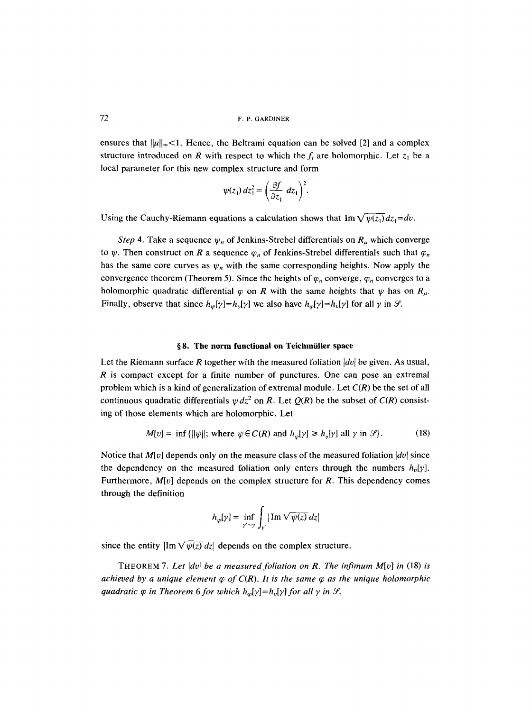ensures that  $\|\mu\|_{\infty}$ <1. Hence, the Beltrami equation can be solved [2] and a complex structure introduced on R with respect to which the  $f_i$  are holomorphic. Let  $z_1$  be a local parameter for this new complex structure and form

$$
\psi(z_1) dz_1^2 = \left(\frac{\partial f}{\partial z_1} dz_1\right)^2.
$$

Using the Cauchy-Riemann equations a calculation shows that  $\text{Im}\sqrt{\psi(z_1)}dz_1 = dv$ .

*Step* 4. Take a sequence  $\psi_n$  of Jenkins-Strebel differentials on  $R_\mu$  which converge to  $\psi$ . Then construct on R a sequence  $\varphi_n$  of Jenkins-Strebel differentials such that  $\varphi_n$ has the same core curves as  $\psi_n$  with the same corresponding heights. Now apply the convergence theorem (Theorem 5). Since the heights of  $\varphi_n$  converge,  $\varphi_n$  converges to a holomorphic quadratic differential  $\varphi$  on R with the same heights that  $\psi$  has on  $R_{\mu}$ . Finally, observe that since  $h_{\psi}[\gamma] = h_{\nu}[\gamma]$  we also have  $h_{\varphi}[\gamma] = h_{\nu}[\gamma]$  for all  $\gamma$  in  $\mathcal{S}$ .

#### **w 8. The norm functional on Teichmiiller space**

Let the Riemann surface R together with the measured foliation  $|dv|$  be given. As usual, R is compact except for a finite number of punctures. One can pose an extremal problem which is a kind of generalization of extremal module. Let *C(R)* be the set of all continuous quadratic differentials  $\psi dz^2$  on R. Let  $Q(R)$  be the subset of  $C(R)$  consisting of those elements which are holomorphic. Let

$$
M[v] = \inf \{ ||\psi||; \text{ where } \psi \in C(R) \text{ and } h_{\psi}[\gamma] \ge h_{\psi}[\gamma] \text{ all } \gamma \text{ in } \mathcal{S} \}.
$$
 (18)

Notice that  $M[v]$  depends only on the measure class of the measured foliation  $|dv|$  since the dependency on the measured foliation only enters through the numbers  $h<sub>v</sub>[y]$ . Furthermore, *M[v]* depends on the complex structure for R. This dependency comes through the definition

$$
h_{\psi}[\gamma] = \inf_{\gamma' \sim \gamma} \int_{\gamma'} |\operatorname{Im} \sqrt{\psi(z)} dz|
$$

since the entity  $\left|\text{Im} \sqrt{\psi(z)} dz\right|$  depends on the complex structure.

THEOREM 7. Let  $|dv|$  be a measured foliation on R. The infimum  $M[v]$  in (18) is *achieved by a unique element*  $\varphi$  *of C(R). It is the same*  $\varphi$  *as the unique holomorphic quadratic*  $\varphi$  *in Theorem 6 for which*  $h_{\varphi}[\gamma]=h_{\upsilon}[\gamma]$  *for all*  $\gamma$  *in*  $\varphi$ *.*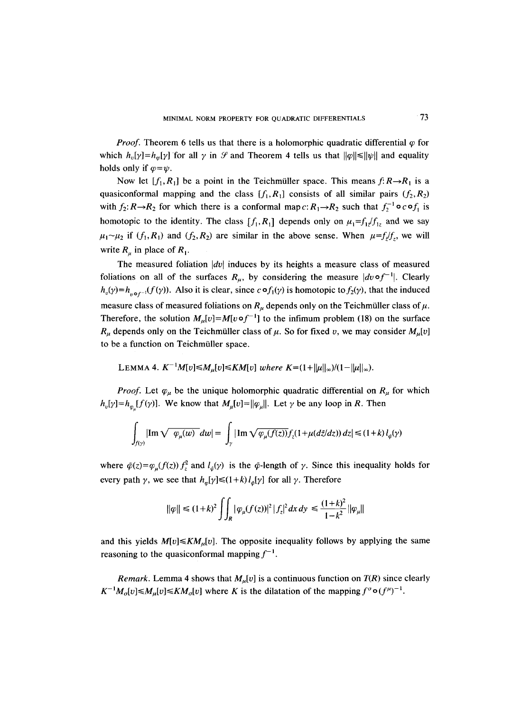*Proof.* Theorem 6 tells us that there is a holomorphic quadratic differential  $\varphi$  for which  $h_n[\gamma]=h_m[\gamma]$  for all  $\gamma$  in  $\mathcal G$  and Theorem 4 tells us that  $||\varphi|| \le ||\psi||$  and equality holds only if  $\varphi = \psi$ .

Now let  $[f_1, R_1]$  be a point in the Teichmüller space. This means  $f: R \rightarrow R_1$  is a quasiconformal mapping and the class  $[f_1, R_1]$  consists of all similar pairs  $(f_2, R_2)$ with  $f_2: R \rightarrow R_2$  for which there is a conformal map  $c: R_1 \rightarrow R_2$  such that  $f_2^{-1} \circ c \circ f_1$  is homotopic to the identity. The class  $[f_1, R_1]$  depends only on  $\mu_1 = f_1 f_1 f_2$  and we say  $\mu_1 \sim \mu_2$  if  $(f_1, R_1)$  and  $(f_2, R_2)$  are similar in the above sense. When  $\mu = f_i/f_j$ , we will write  $R_{\mu}$  in place of  $R_{\mu}$ .

The measured foliation  $|dv|$  induces by its heights a measure class of measured foliations on all of the surfaces  $R_u$ , by considering the measure  $|dv \circ f^{-1}|$ . Clearly  $h_{\nu}(\gamma) = h_{\nu \circ f^{-1}}(f(\gamma))$ . Also it is clear, since  $c \circ f_1(\gamma)$  is homotopic to  $f_2(\gamma)$ , that the induced measure class of measured foliations on  $R_{\mu}$  depends only on the Teichmüller class of  $\mu$ . Therefore, the solution  $M_{\mu}[v] = M[v \circ f^{-1}]$  to the infimum problem (18) on the surface  $R_{\mu}$  depends only on the Teichmüller class of  $\mu$ . So for fixed v, we may consider  $M_{\mu}[v]$ to be a function on Teichmüller space.

LEMMA 4. 
$$
K^{-1}M[v] \leq M_{\mu}[v] \leq KM[v]
$$
 where  $K = (1 + ||\mu||_{\infty})/(1 - ||\mu||_{\infty})$ .

*Proof.* Let  $\varphi_\mu$  be the unique holomorphic quadratic differential on  $R_\mu$  for which  $h_v[\gamma]=h_v[f(\gamma)]$ . We know that  $M_u[v]=\|\varphi_u\|$ . Let  $\gamma$  be any loop in R. Then

$$
\int_{f(\gamma)} |\text{Im}\sqrt{\varphi_{\mu}(w)}\,dw| = \int_{\gamma} |\text{Im}\sqrt{\varphi_{\mu}(f(z))}f_{z}(1+\mu(d\bar{z}/dz))\,dz| \leq (1+k) \,l_{\bar{\varphi}}(\gamma)
$$

where  $\tilde{\varphi}(z) = \varphi_{\mu}(f(z)) f_z^2$  and  $l_{\varphi}(\gamma)$  is the  $\tilde{\varphi}$ -length of  $\gamma$ . Since this inequality holds for every path  $\gamma$ , we see that  $h_{\varphi}[\gamma] \leq (1 + k) l_{\varphi}[\gamma]$  for all  $\gamma$ . Therefore

$$
\|\varphi\| \le (1+k)^2 \iint_R |\varphi_\mu(f(z))|^2 |f_z|^2 dx dy \le \frac{(1+k)^2}{1-k^2} \|\varphi_\mu\|
$$

and this yields  $M[v] \le K M_u[v]$ . The opposite inequality follows by applying the same reasoning to the quasiconformal mapping  $f^{-1}$ .

*Remark.* Lemma 4 shows that  $M_u[v]$  is a continuous function on  $T(R)$  since clearly  $K^{-1}M_{\sigma}[v] \leq M_{\mu}[v] \leq KM_{\sigma}[v]$  where K is the dilatation of the mapping  $f^{\sigma} \circ (f^{\mu})^{-1}$ .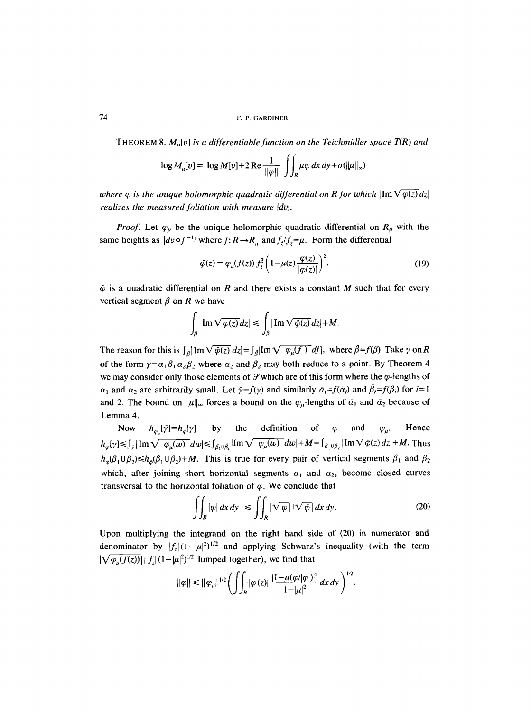THEOREM 8.  $M<sub>u</sub>[v]$  is a differentiable function on the Teichmüller space T(R) and

$$
\log M_{\mu}[v] = \log M[v] + 2 \operatorname{Re} \frac{1}{\|\varphi\|} \iint_{R} \mu \varphi \, dx \, dy + o(\|\mu\|_{\infty})
$$

*where*  $\varphi$  *is the unique holomorphic quadratic differential on R for which*  $\lim_{\mathcal{V}} \sqrt{\varphi(z)} dz$ *realizes the measured foliation with measure*  $|dv|$ *.* 

*Proof.* Let  $\varphi_{\mu}$  be the unique holomorphic quadratic differential on  $R_{\mu}$  with the same heights as  $|dv \circ f^{-1}|$  where  $f: R \to R_u$  and  $f_{\bar{z}}/f_{\bar{z}} = \mu$ . Form the differential

$$
\tilde{\varphi}(z) = \varphi_{\mu}(f(z)) f_z^2 \left( 1 - \mu(z) \frac{\varphi(z)}{|\varphi(z)|} \right)^2.
$$
 (19)

 $\tilde{\varphi}$  is a quadratic differential on R and there exists a constant M such that for every vertical segment  $\beta$  on R we have

$$
\int_{\beta} |\operatorname{Im} \sqrt{\varphi(z)} dz| \leq \int_{\beta} |\operatorname{Im} \sqrt{\tilde{\varphi}(z)} dz| + M.
$$

The reason for this is  $\int_{\beta} |\text{Im} \sqrt{\tilde{\varphi}(z)} dz| = \int_{\beta} |\text{Im} \sqrt{\varphi_{\mu}(f)} dz|$ , where  $\tilde{\beta} = f(\beta)$ . Take  $\gamma$  on R of the form  $\gamma = \alpha_1 \beta_1 \alpha_2 \beta_2$  where  $\alpha_2$  and  $\beta_2$  may both reduce to a point. By Theorem 4 we may consider only those elements of  $\mathcal{S}$  which are of this form where the  $\varphi$ -lengths of  $\alpha_1$  and  $\alpha_2$  are arbitrarily small. Let  $\tilde{\gamma} = f(\gamma)$  and similarly  $\tilde{\alpha}_i = f(\alpha_i)$  and  $\tilde{\beta}_i = f(\beta_i)$  for  $i=1$ and 2. The bound on  $\|\mu\|_{\infty}$  forces a bound on the  $\varphi_{\mu}$ -lengths of  $\tilde{\alpha}_1$  and  $\tilde{\alpha}_2$  because of Lemma 4.

Now  $h_{\omega}[\tilde{\gamma}]=h_{\omega}[\gamma]$  by the definition of  $\varphi$  and  $\varphi_{\mu}$ . Hence  $h_{\varphi}[\gamma] \leq \int_{\gamma} |{\rm Im}\sqrt{\varphi_u(w)} dw| \leq \int_{\hat{\beta},\upsilon,\hat{\beta}} |{\rm Im}\sqrt{\varphi_u(w)} dw| + M = \int_{\beta,\upsilon,\beta} |{\rm Im}\sqrt{\varphi(z)} dz| + M$ . Thus  $h_{\varphi}(\beta_1 \cup \beta_2) \leq h_{\varphi}(\beta_1 \cup \beta_2) + M$ . This is true for every pair of vertical segments  $\beta_1$  and  $\beta_2$ which, after joining short horizontal segments  $\alpha_1$  and  $\alpha_2$ , become closed curves transversal to the horizontal foliation of  $\varphi$ . We conclude that

$$
\iint_{R} |\varphi| \, dx \, dy \le \iint_{R} |\sqrt{\varphi}| |\sqrt{\varphi}| \, dx \, dy. \tag{20}
$$

Upon multiplying the integrand on the right hand side of (20) in numerator and denominator by  $|f_z|(1-|\mu|^2)^{1/2}$  and applying Schwarz's inequality (with the term  $|\sqrt{\varphi_{\mu}(f(z))}| |f_z| (1-|\mu|^2)^{1/2}$  lumped together), we find that

$$
\|\varphi\| \leq \|\varphi_{\mu}\|^{1/2} \bigg(\int \int_R |\varphi(z)| \, \frac{|1-\mu(\varphi/|\varphi|)|^2}{1-|\mu|^2} \, dx \, dy\bigg)^{1/2}.
$$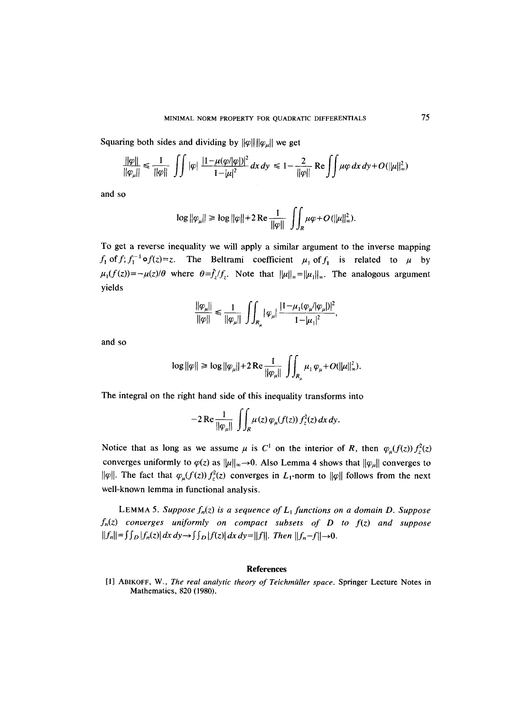Squaring both sides and dividing by  $\|\varphi\| \|\varphi_{\mu}\|$  we get

$$
\frac{\|\varphi\|}{\|\varphi_{\mu}\|} \le \frac{1}{\|\varphi\|} \int \int |\varphi| \, \frac{|1-\mu(\varphi/|\varphi|)|^2}{1-|\mu|^2} \, dx \, dy \le 1 - \frac{2}{\|\varphi\|} \text{Re} \int \int \mu \varphi \, dx \, dy + O(\|\mu\|_{\infty}^2)
$$

and so

$$
\log ||\varphi_{\mu}|| \ge \log ||\varphi|| + 2 \operatorname{Re} \frac{1}{||\varphi||} \iint_{R} \mu \varphi + O(||\mu||_{\infty}^{2}).
$$

To get a reverse inequality we will apply a similar argument to the inverse mapping  $f_1$  of  $f$ ;  $f_1^{-1}$  of  $f(z) = z$ . The Beltrami coefficient  $\mu_1$  of  $f_1$  is related to  $\mu$  by  $\mu_1(f(z)) = -\mu(z)/\theta$  where  $\theta = \bar{f}_z/f_z$ . Note that  $\|\mu\|_{\infty} = \|\mu_1\|_{\infty}$ . The analogous argument yields

$$
\frac{\|\varphi_{\mu}\|}{\|\varphi\|} \le \frac{1}{\|\varphi_{\mu}\|} \ \int\!\!\!\int_{R_{\mu}} |\varphi_{\mu}| \ \frac{|1-\mu_1(\varphi_{\mu}/|\varphi_{\mu}|)|^2}{1-|\mu_1|^2},
$$

and so

$$
\log \|\varphi\| \ge \log \|\varphi_{\mu}\| + 2 \operatorname{Re} \frac{1}{\|\varphi_{\mu}\|} \int_{R_{\mu}} \mu_1 \varphi_{\mu} + O(\|\mu\|_{\infty}^2).
$$

The integral on the right hand side of this inequality transforms into

$$
-2\operatorname{Re}\frac{1}{\|\varphi_{\mu}\|}\iint_{R}\mu(z)\,\varphi_{\mu}(f(z))\,f_{z}^{2}(z)\,dx\,dy.
$$

Notice that as long as we assume  $\mu$  is C<sup>1</sup> on the interior of R, then  $\varphi_u(f(z)) f_z^2(z)$ converges uniformly to  $\varphi(z)$  as  $\|\mu\|_{\infty}\to 0$ . Also Lemma 4 shows that  $\|\varphi_{\mu}\|$  converges to  $\|\varphi\|$ . The fact that  $\varphi_{\mu}(f(z))f_{z}^{2}(z)$  converges in L<sub>1</sub>-norm to  $\|\varphi\|$  follows from the next well-known lemma in functional analysis.

LEMMA 5. Suppose  $f_n(z)$  is a sequence of  $L_1$  functions on a domain D. Suppose *fn(z) converges uniformly on compact subsets of D to f(z) and suppose*   $||f_n|| = \int \int_D |f_n(z)| dx dy \rightarrow \int \int_D |f(z)| dx dy = ||f||$ . *Then*  $||f_n - f|| \rightarrow 0$ .

#### **References**

[1] ABIKOFF, W., *The real analytic theory of Teichmiiller space.* Springer Lecture Notes in Mathematics, 820 (1980).